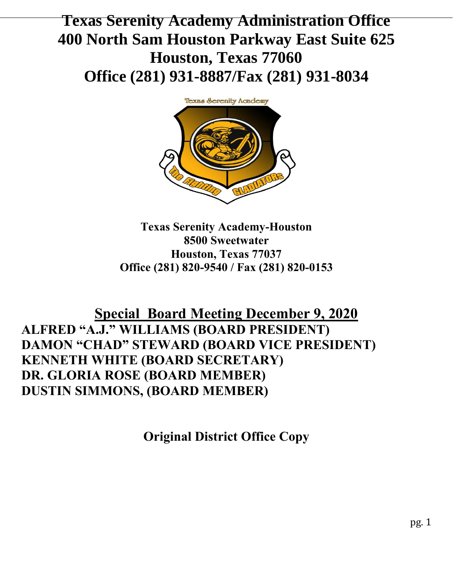# **Texas Serenity Academy Administration Office 400 North Sam Houston Parkway East Suite 625 Houston, Texas 77060 Office (281) 931-8887/Fax (281) 931-8034**



**Texas Serenity Academy-Houston 8500 Sweetwater Houston, Texas 77037 Office (281) 820-9540 / Fax (281) 820-0153**

## **Special Board Meeting December 9, 2020 ALFRED "A.J." WILLIAMS (BOARD PRESIDENT) DAMON "CHAD" STEWARD (BOARD VICE PRESIDENT) KENNETH WHITE (BOARD SECRETARY) DR. GLORIA ROSE (BOARD MEMBER) DUSTIN SIMMONS, (BOARD MEMBER)**

**Original District Office Copy**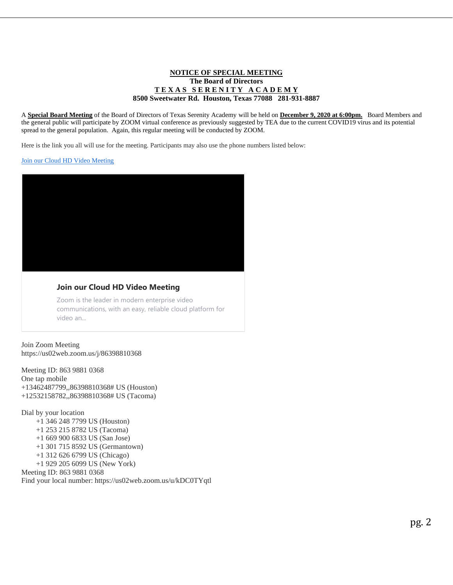#### **NOTICE OF SPECIAL MEETING The Board of Directors T E X A S S E R E N I T Y A C A D E M Y 8500 Sweetwater Rd. Houston, Texas 77088 281-931-8887**

A **Special Board Meeting** of the Board of Directors of Texas Serenity Academy will be held on **December 9, 2020 at 6:00pm.** Board Members and the general public will participate by ZOOM virtual conference as previously suggested by TEA due to the current COVID19 virus and its potential spread to the general population. Again, this regular meeting will be conducted by ZOOM.

Here is the link you all will use for the meeting. Participants may also use the phone numbers listed below:

[Join our Cloud HD Video Meeting](https://us02web.zoom.us/j/86398810368)



#### **Join our Cloud HD Video Meeting**

Zoom is the leader in modern enterprise video communications, with an easy, reliable cloud platform for video an...

Join Zoom Meeting https://us02web.zoom.us/j/86398810368

Meeting ID: 863 9881 0368 One tap mobile +13462487799,,86398810368# US (Houston) +12532158782,,86398810368# US (Tacoma)

Dial by your location

- +1 346 248 7799 US (Houston)
- +1 253 215 8782 US (Tacoma)
- +1 669 900 6833 US (San Jose)
- +1 301 715 8592 US (Germantown)
- +1 312 626 6799 US (Chicago)
- +1 929 205 6099 US (New York)

Meeting ID: 863 9881 0368

Find your local number: https://us02web.zoom.us/u/kDC0TYqtl